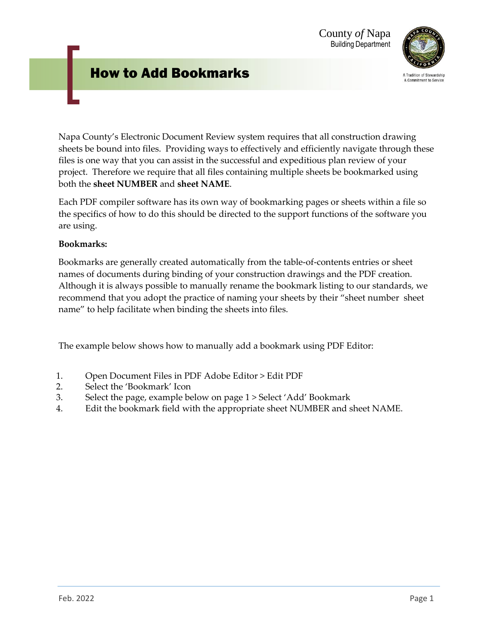## How to Add Bookmarks



A Tradition of Stewardship A Commitment to Service

Napa County's Electronic Document Review system requires that all construction drawing sheets be bound into files. Providing ways to effectively and efficiently navigate through these files is one way that you can assist in the successful and expeditious plan review of your project. Therefore we require that all files containing multiple sheets be bookmarked using both the **sheet NUMBER** and **sheet NAME**.

Each PDF compiler software has its own way of bookmarking pages or sheets within a file so the specifics of how to do this should be directed to the support functions of the software you are using.

## **Bookmarks:**

Bookmarks are generally created automatically from the table-of-contents entries or sheet names of documents during binding of your construction drawings and the PDF creation. Although it is always possible to manually rename the bookmark listing to our standards, we recommend that you adopt the practice of naming your sheets by their "sheet number sheet name" to help facilitate when binding the sheets into files.

The example below shows how to manually add a bookmark using PDF Editor:

- 1. Open Document Files in PDF Adobe Editor > Edit PDF
- 2. Select the 'Bookmark' Icon
- 3. Select the page, example below on page 1 > Select 'Add' Bookmark
- 4. Edit the bookmark field with the appropriate sheet NUMBER and sheet NAME.